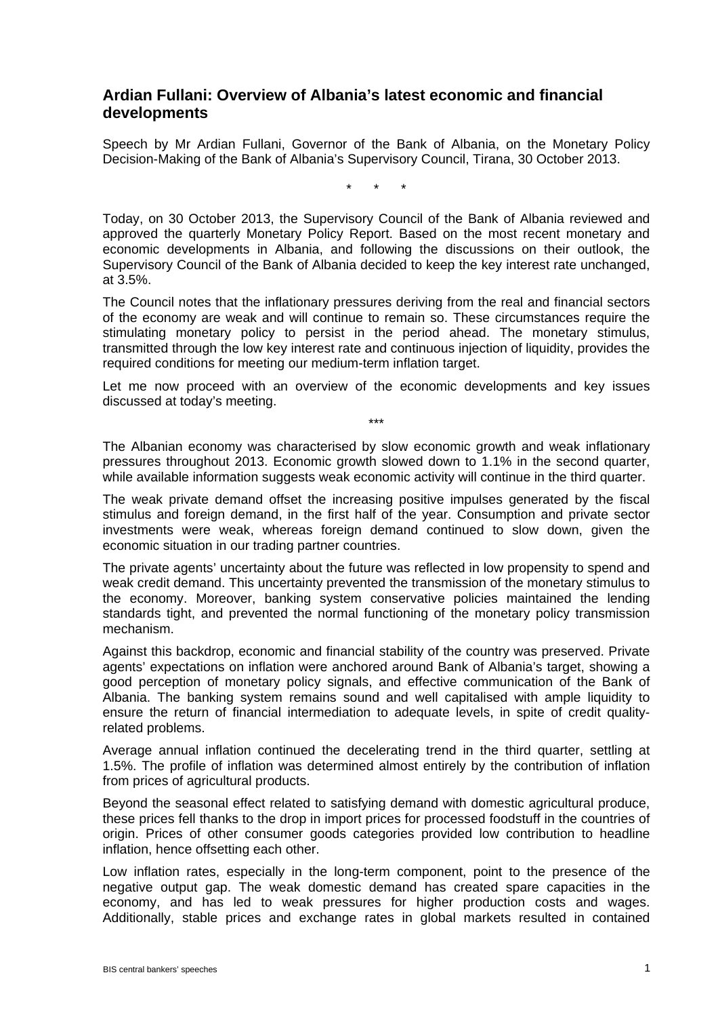## **Ardian Fullani: Overview of Albania's latest economic and financial developments**

Speech by Mr Ardian Fullani, Governor of the Bank of Albania, on the Monetary Policy Decision-Making of the Bank of Albania's Supervisory Council, Tirana, 30 October 2013.

\* \* \*

Today, on 30 October 2013, the Supervisory Council of the Bank of Albania reviewed and approved the quarterly Monetary Policy Report. Based on the most recent monetary and economic developments in Albania, and following the discussions on their outlook, the Supervisory Council of the Bank of Albania decided to keep the key interest rate unchanged, at 3.5%.

The Council notes that the inflationary pressures deriving from the real and financial sectors of the economy are weak and will continue to remain so. These circumstances require the stimulating monetary policy to persist in the period ahead. The monetary stimulus, transmitted through the low key interest rate and continuous injection of liquidity, provides the required conditions for meeting our medium-term inflation target.

Let me now proceed with an overview of the economic developments and key issues discussed at today's meeting.

\*\*\*

The Albanian economy was characterised by slow economic growth and weak inflationary pressures throughout 2013. Economic growth slowed down to 1.1% in the second quarter, while available information suggests weak economic activity will continue in the third quarter.

The weak private demand offset the increasing positive impulses generated by the fiscal stimulus and foreign demand, in the first half of the year. Consumption and private sector investments were weak, whereas foreign demand continued to slow down, given the economic situation in our trading partner countries.

The private agents' uncertainty about the future was reflected in low propensity to spend and weak credit demand. This uncertainty prevented the transmission of the monetary stimulus to the economy. Moreover, banking system conservative policies maintained the lending standards tight, and prevented the normal functioning of the monetary policy transmission mechanism.

Against this backdrop, economic and financial stability of the country was preserved. Private agents' expectations on inflation were anchored around Bank of Albania's target, showing a good perception of monetary policy signals, and effective communication of the Bank of Albania. The banking system remains sound and well capitalised with ample liquidity to ensure the return of financial intermediation to adequate levels, in spite of credit qualityrelated problems.

Average annual inflation continued the decelerating trend in the third quarter, settling at 1.5%. The profile of inflation was determined almost entirely by the contribution of inflation from prices of agricultural products.

Beyond the seasonal effect related to satisfying demand with domestic agricultural produce, these prices fell thanks to the drop in import prices for processed foodstuff in the countries of origin. Prices of other consumer goods categories provided low contribution to headline inflation, hence offsetting each other.

Low inflation rates, especially in the long-term component, point to the presence of the negative output gap. The weak domestic demand has created spare capacities in the economy, and has led to weak pressures for higher production costs and wages. Additionally, stable prices and exchange rates in global markets resulted in contained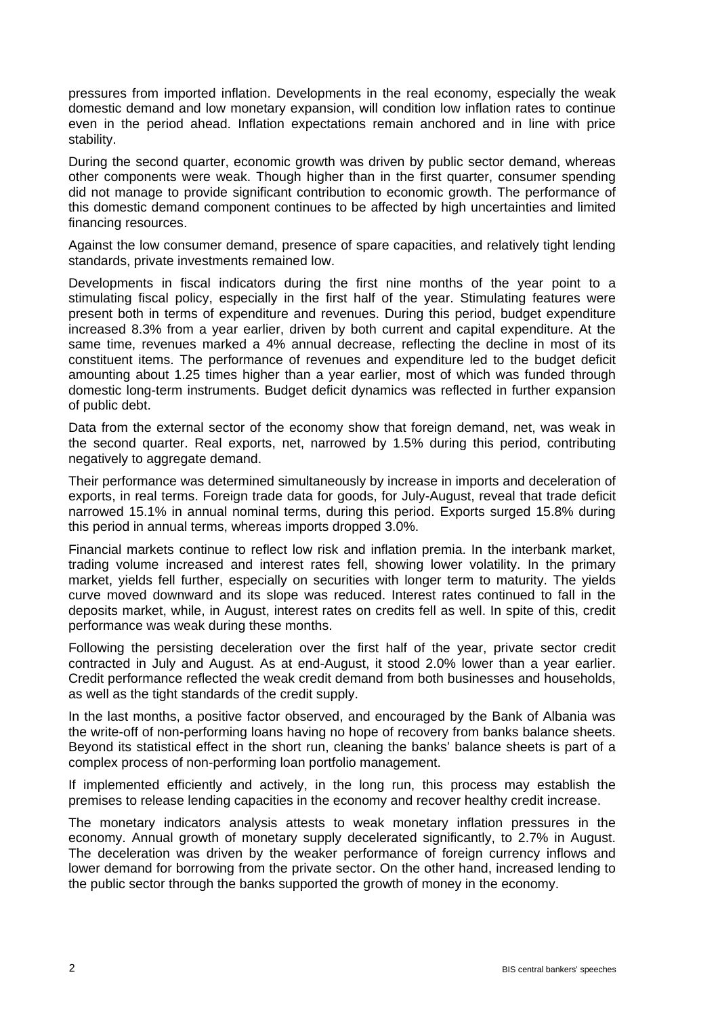pressures from imported inflation. Developments in the real economy, especially the weak domestic demand and low monetary expansion, will condition low inflation rates to continue even in the period ahead. Inflation expectations remain anchored and in line with price stability.

During the second quarter, economic growth was driven by public sector demand, whereas other components were weak. Though higher than in the first quarter, consumer spending did not manage to provide significant contribution to economic growth. The performance of this domestic demand component continues to be affected by high uncertainties and limited financing resources.

Against the low consumer demand, presence of spare capacities, and relatively tight lending standards, private investments remained low.

Developments in fiscal indicators during the first nine months of the year point to a stimulating fiscal policy, especially in the first half of the year. Stimulating features were present both in terms of expenditure and revenues. During this period, budget expenditure increased 8.3% from a year earlier, driven by both current and capital expenditure. At the same time, revenues marked a 4% annual decrease, reflecting the decline in most of its constituent items. The performance of revenues and expenditure led to the budget deficit amounting about 1.25 times higher than a year earlier, most of which was funded through domestic long-term instruments. Budget deficit dynamics was reflected in further expansion of public debt.

Data from the external sector of the economy show that foreign demand, net, was weak in the second quarter. Real exports, net, narrowed by 1.5% during this period, contributing negatively to aggregate demand.

Their performance was determined simultaneously by increase in imports and deceleration of exports, in real terms. Foreign trade data for goods, for July-August, reveal that trade deficit narrowed 15.1% in annual nominal terms, during this period. Exports surged 15.8% during this period in annual terms, whereas imports dropped 3.0%.

Financial markets continue to reflect low risk and inflation premia. In the interbank market, trading volume increased and interest rates fell, showing lower volatility. In the primary market, yields fell further, especially on securities with longer term to maturity. The yields curve moved downward and its slope was reduced. Interest rates continued to fall in the deposits market, while, in August, interest rates on credits fell as well. In spite of this, credit performance was weak during these months.

Following the persisting deceleration over the first half of the year, private sector credit contracted in July and August. As at end-August, it stood 2.0% lower than a year earlier. Credit performance reflected the weak credit demand from both businesses and households, as well as the tight standards of the credit supply.

In the last months, a positive factor observed, and encouraged by the Bank of Albania was the write-off of non-performing loans having no hope of recovery from banks balance sheets. Beyond its statistical effect in the short run, cleaning the banks' balance sheets is part of a complex process of non-performing loan portfolio management.

If implemented efficiently and actively, in the long run, this process may establish the premises to release lending capacities in the economy and recover healthy credit increase.

The monetary indicators analysis attests to weak monetary inflation pressures in the economy. Annual growth of monetary supply decelerated significantly, to 2.7% in August. The deceleration was driven by the weaker performance of foreign currency inflows and lower demand for borrowing from the private sector. On the other hand, increased lending to the public sector through the banks supported the growth of money in the economy.